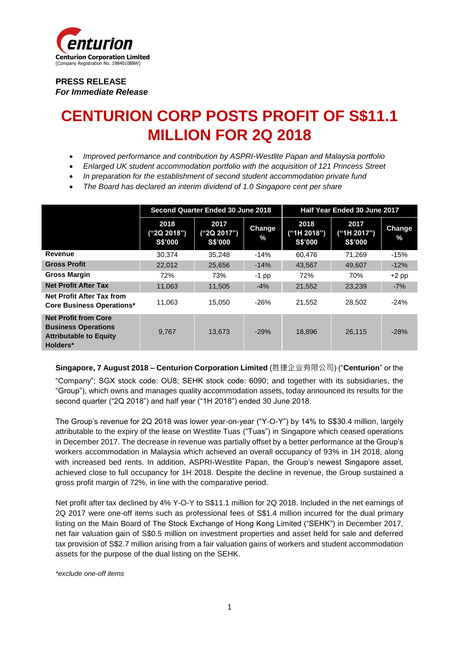

**PRESS RELEASE**  *For Immediate Release* 

# **CENTURION CORP POSTS PROFIT OF S\$11.1 MILLION FOR 2Q 2018**

- *Improved performance and contribution by ASPRI-Westlite Papan and Malaysia portfolio*
- *Enlarged UK student accommodation portfolio with the acquisition of 121 Princess Street*
- *In preparation for the establishment of second student accommodation private fund*
- *The Board has declared an interim dividend of 1.0 Singapore cent per share*

|                                                                                                        | Second Quarter Ended 30 June 2018 |                                |                | Half Year Ended 30 June 2017   |                                |                       |
|--------------------------------------------------------------------------------------------------------|-----------------------------------|--------------------------------|----------------|--------------------------------|--------------------------------|-----------------------|
|                                                                                                        | 2018<br>("2Q 2018")<br>S\$'000    | 2017<br>("2Q 2017")<br>S\$'000 | Change<br>$\%$ | 2018<br>("1H 2018")<br>S\$'000 | 2017<br>("1H 2017")<br>S\$'000 | <b>Change</b><br>$\%$ |
| Revenue                                                                                                | 30.374                            | 35.248                         | $-14%$         | 60.476                         | 71.269                         | $-15%$                |
| <b>Gross Profit</b>                                                                                    | 22,012                            | 25,656                         | $-14%$         | 43,567                         | 49,607                         | $-12%$                |
| <b>Gross Margin</b>                                                                                    | 72%                               | 73%                            | $-1$ pp        | 72%                            | 70%                            | $+2$ pp               |
| <b>Net Profit After Tax</b>                                                                            | 11.063                            | 11,505                         | $-4%$          | 21,552                         | 23,239                         | $-7%$                 |
| <b>Net Profit After Tax from</b><br><b>Core Business Operations*</b>                                   | 11.063                            | 15.050                         | $-26%$         | 21.552                         | 28.502                         | $-24%$                |
| <b>Net Profit from Core</b><br><b>Business Operations</b><br><b>Attributable to Equity</b><br>Holders* | 9,767                             | 13.673                         | $-29%$         | 18,896                         | 26,115                         | $-28%$                |

**Singapore, 7 August 2018 – Centurion Corporation Limited** (胜捷企业有限公司) ("**Centurion**" or the "Company"; SGX stock code: OU8; SEHK stock code: 6090; and together with its subsidiaries, the "Group"), which owns and manages quality accommodation assets, today announced its results for the second quarter ("2Q 2018") and half year ("1H 2018") ended 30 June 2018.

The Group's revenue for 2Q 2018 was lower year-on-year ("Y-O-Y") by 14% to S\$30.4 million, largely attributable to the expiry of the lease on Westlite Tuas ("Tuas") in Singapore which ceased operations in December 2017. The decrease in revenue was partially offset by a better performance at the Group's workers accommodation in Malaysia which achieved an overall occupancy of 93% in 1H 2018, along with increased bed rents. In addition, ASPRI-Westlite Papan, the Group's newest Singapore asset, achieved close to full occupancy for 1H 2018. Despite the decline in revenue, the Group sustained a gross profit margin of 72%, in line with the comparative period.

Net profit after tax declined by 4% Y-O-Y to S\$11.1 million for 2Q 2018. Included in the net earnings of 2Q 2017 were one-off items such as professional fees of S\$1.4 million incurred for the dual primary listing on the Main Board of The Stock Exchange of Hong Kong Limited ("SEHK") in December 2017, net fair valuation gain of S\$0.5 million on investment properties and asset held for sale and deferred tax provision of S\$2.7 million arising from a fair valuation gains of workers and student accommodation assets for the purpose of the dual listing on the SEHK.

*\*exclude one-off items*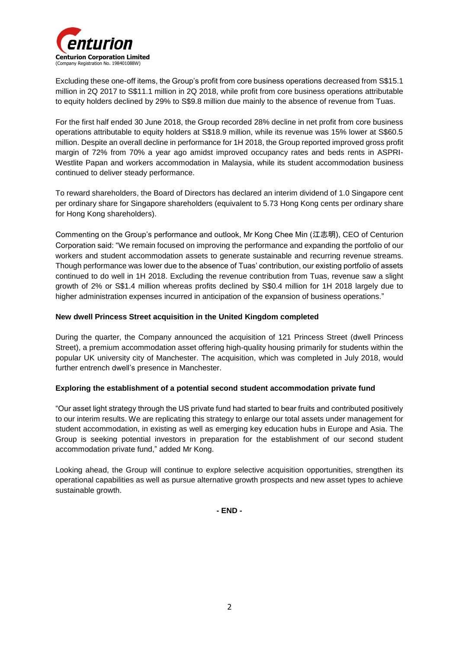

Excluding these one-off items, the Group's profit from core business operations decreased from S\$15.1 million in 2Q 2017 to S\$11.1 million in 2Q 2018, while profit from core business operations attributable to equity holders declined by 29% to S\$9.8 million due mainly to the absence of revenue from Tuas.

For the first half ended 30 June 2018, the Group recorded 28% decline in net profit from core business operations attributable to equity holders at S\$18.9 million, while its revenue was 15% lower at S\$60.5 million. Despite an overall decline in performance for 1H 2018, the Group reported improved gross profit margin of 72% from 70% a year ago amidst improved occupancy rates and beds rents in ASPRI-Westlite Papan and workers accommodation in Malaysia, while its student accommodation business continued to deliver steady performance.

To reward shareholders, the Board of Directors has declared an interim dividend of 1.0 Singapore cent per ordinary share for Singapore shareholders (equivalent to 5.73 Hong Kong cents per ordinary share for Hong Kong shareholders).

Commenting on the Group's performance and outlook, Mr Kong Chee Min (江志明), CEO of Centurion Corporation said: "We remain focused on improving the performance and expanding the portfolio of our workers and student accommodation assets to generate sustainable and recurring revenue streams. Though performance was lower due to the absence of Tuas' contribution, our existing portfolio of assets continued to do well in 1H 2018. Excluding the revenue contribution from Tuas, revenue saw a slight growth of 2% or S\$1.4 million whereas profits declined by S\$0.4 million for 1H 2018 largely due to higher administration expenses incurred in anticipation of the expansion of business operations."

#### **New dwell Princess Street acquisition in the United Kingdom completed**

During the quarter, the Company announced the acquisition of 121 Princess Street (dwell Princess Street), a premium accommodation asset offering high-quality housing primarily for students within the popular UK university city of Manchester. The acquisition, which was completed in July 2018, would further entrench dwell's presence in Manchester.

## **Exploring the establishment of a potential second student accommodation private fund**

"Our asset light strategy through the US private fund had started to bear fruits and contributed positively to our interim results. We are replicating this strategy to enlarge our total assets under management for student accommodation, in existing as well as emerging key education hubs in Europe and Asia. The Group is seeking potential investors in preparation for the establishment of our second student accommodation private fund," added Mr Kong.

Looking ahead, the Group will continue to explore selective acquisition opportunities, strengthen its operational capabilities as well as pursue alternative growth prospects and new asset types to achieve sustainable growth.

**- END -**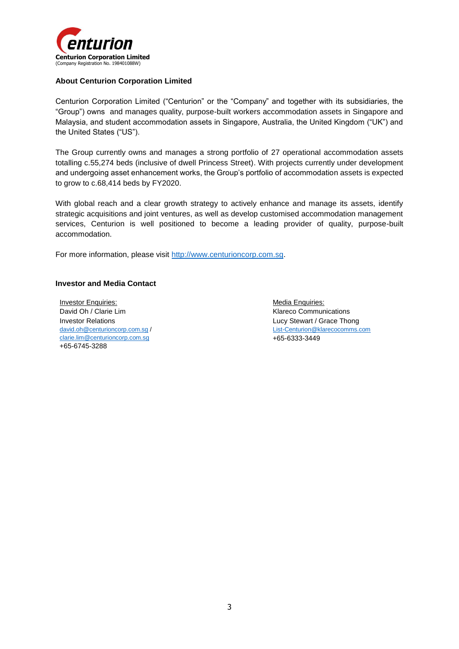

#### **About Centurion Corporation Limited**

Centurion Corporation Limited ("Centurion" or the "Company" and together with its subsidiaries, the "Group") owns and manages quality, purpose-built workers accommodation assets in Singapore and Malaysia, and student accommodation assets in Singapore, Australia, the United Kingdom ("UK") and the United States ("US").

The Group currently owns and manages a strong portfolio of 27 operational accommodation assets totalling c.55,274 beds (inclusive of dwell Princess Street). With projects currently under development and undergoing asset enhancement works, the Group's portfolio of accommodation assets is expected to grow to c.68,414 beds by FY2020.

With global reach and a clear growth strategy to actively enhance and manage its assets, identify strategic acquisitions and joint ventures, as well as develop customised accommodation management services, Centurion is well positioned to become a leading provider of quality, purpose-built accommodation.

For more information, please visit [http://www.centurioncorp.com.sg.](http://www.centurioncorp.com.sg/)

#### **Investor and Media Contact**

Investor Enquiries: David Oh / Clarie Lim Investor Relations [david.oh@centurioncorp.com.sg](mailto:david.oh@centurioncorp.com.sg) / [clarie.lim@centurioncorp.com.sg](mailto:clarie.lim@centurioncorp.com.sg) +65-6745-3288

Media Enquiries: Klareco Communications Lucy Stewart / Grace Thong [List-Centurion@klarecocomms.com](mailto:List-Centurion@klarecocomms.com) +65-6333-3449